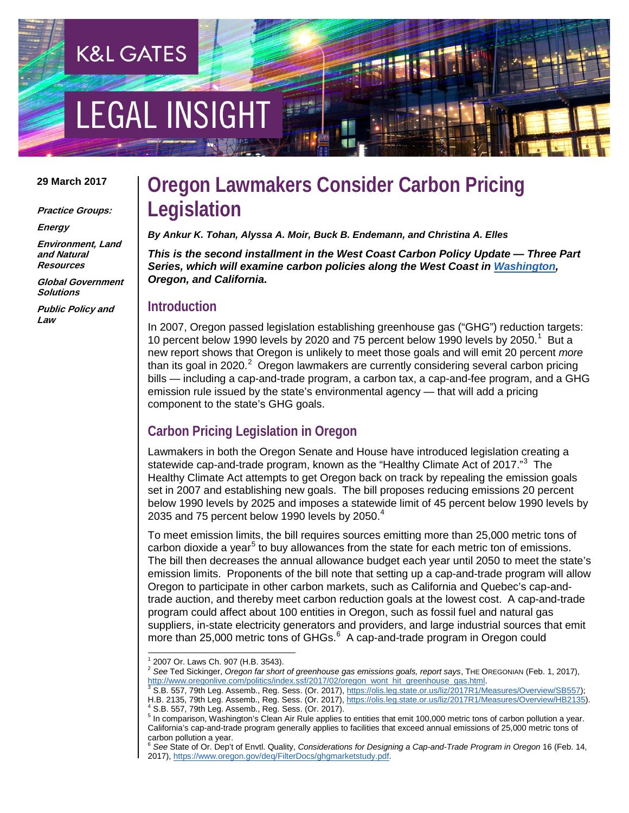# **EGAL INSIGHT**

**K&L GATES** 

#### **29 March 2017**

**Practice Groups:**

**Energy**

**Environment, Land and Natural Resources**

**Global Government Solutions**

**Public Policy and Law**

### **Oregon Lawmakers Consider Carbon Pricing Legislation**

*By Ankur K. Tohan, Alyssa A. Moir, Buck B. Endemann, and Christina A. Elles*

*This is the second installment in the West Coast Carbon Policy Update — Three Part Series, which will examine carbon policies along the West Coast i[n Washington,](http://www.klgates.com/washington-continues-to-consider-a-carbon-tax-and-defends-clean-air-rule-03-23-2017/) Oregon, and California.*

#### **Introduction**

In 2007, Oregon passed legislation establishing greenhouse gas ("GHG") reduction targets: [1](#page-0-0)0 percent below 1990 levels by 2020 and 75 percent below 1990 levels by 2050.<sup>1</sup> But a new report shows that Oregon is unlikely to meet those goals and will emit 20 percent *more* than its goal in [2](#page-0-1)020.<sup>2</sup> Oregon lawmakers are currently considering several carbon pricing bills — including a cap-and-trade program, a carbon tax, a cap-and-fee program, and a GHG emission rule issued by the state's environmental agency — that will add a pricing component to the state's GHG goals.

#### **Carbon Pricing Legislation in Oregon**

Lawmakers in both the Oregon Senate and House have introduced legislation creating a statewide cap-and-trade program, known as the "Healthy Climate Act of 2017."<sup>[3](#page-0-2)</sup> The Healthy Climate Act attempts to get Oregon back on track by repealing the emission goals set in 2007 and establishing new goals. The bill proposes reducing emissions 20 percent below 1990 levels by 2025 and imposes a statewide limit of 45 percent below 1990 levels by 2035 and 75 percent below 1990 levels by 2050. $^4\,$  $^4\,$  $^4\,$ 

To meet emission limits, the bill requires sources emitting more than 25,000 metric tons of carbon dioxide a year<sup>[5](#page-0-4)</sup> to buy allowances from the state for each metric ton of emissions. The bill then decreases the annual allowance budget each year until 2050 to meet the state's emission limits. Proponents of the bill note that setting up a cap-and-trade program will allow Oregon to participate in other carbon markets, such as California and Quebec's cap-andtrade auction, and thereby meet carbon reduction goals at the lowest cost. A cap-and-trade program could affect about 100 entities in Oregon, such as fossil fuel and natural gas suppliers, in-state electricity generators and providers, and large industrial sources that emit more than 25,000 metric tons of GHGs.<sup>[6](#page-0-5)</sup> A cap-and-trade program in Oregon could

<sup>2007</sup> Or. Laws Ch. 907 (H.B. 3543).

<span id="page-0-1"></span><span id="page-0-0"></span><sup>&</sup>lt;sup>2</sup> See Ted Sickinger, *Oregon far short of greenhouse gas emissions goals, report says*, THE OREGONIAN (Feb. 1, 2017), http://www.oregonlive.com/politics/index.ssf/2017/02/oregon\_wont\_hit\_greenhouse\_gas.html.

<span id="page-0-2"></span>ntenminister.com/politics/index.std/2017/02/organister.com/politics/index.state.org/index.state.org/index.state.org<br>[3](http://www.oregonlive.com/politics/index.ssf/2017/02/oregon_wont_hit_greenhouse_gas.html) S.B. 557, 79th Leg. Assemb., Reg. Sess. (Or. 2017), https://olis.leg.state.or.us/liz/2017R1/Measures/Ove H.B. 2135, 79th Leg. Assemb., Reg. Sess. (Or. 2017)[, https://olis.leg.state.or.us/liz/2017R1/Measures/Overview/HB2135\)](https://olis.leg.state.or.us/liz/2017R1/Measures/Overview/HB2135).<br><sup>4</sup> S.B. 557, 79th Leg. Assemb., Reg. Sess. (Or. 2017).

<span id="page-0-4"></span><span id="page-0-3"></span><sup>5</sup> In comparison, Washington's Clean Air Rule applies to entities that emit 100,000 metric tons of carbon pollution a year. California's cap-and-trade program generally applies to facilities that exceed annual emissions of 25,000 metric tons of carbon pollution a year.

<span id="page-0-5"></span><sup>6</sup> *See* State of Or. Dep't of Envtl. Quality, *Considerations for Designing a Cap-and-Trade Program in Oregon* 16 (Feb. 14, 2017), [https://www.oregon.gov/deq/FilterDocs/ghgmarketstudy.pdf.](https://www.oregon.gov/deq/FilterDocs/ghgmarketstudy.pdf)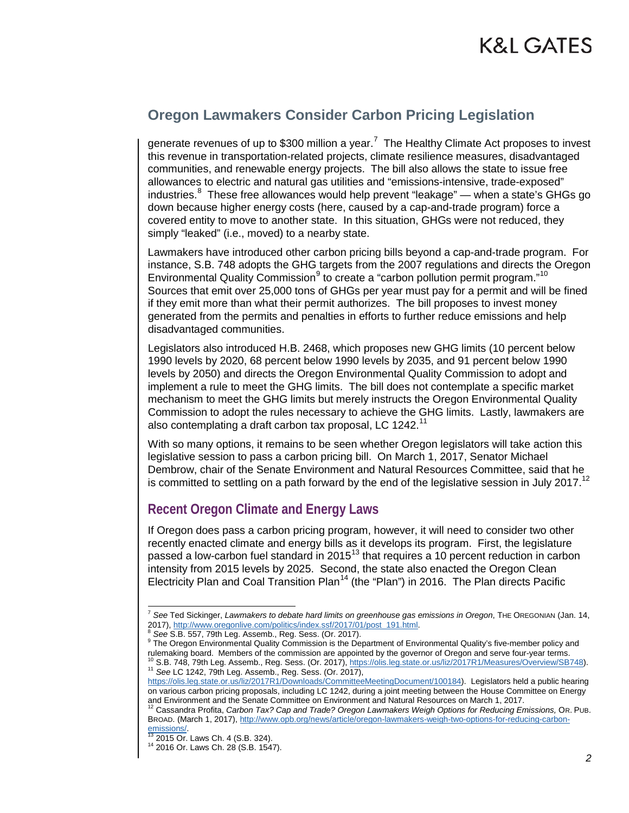### K&L GATES

#### **Oregon Lawmakers Consider Carbon Pricing Legislation**

generate revenues of up to \$300 million a year.<sup>[7](#page-1-0)</sup> The Healthy Climate Act proposes to invest this revenue in transportation-related projects, climate resilience measures, disadvantaged communities, and renewable energy projects. The bill also allows the state to issue free allowances to electric and natural gas utilities and "emissions-intensive, trade-exposed" industries. $^8$  $^8$  These free allowances would help prevent "leakage" — when a state's GHGs go down because higher energy costs (here, caused by a cap-and-trade program) force a covered entity to move to another state. In this situation, GHGs were not reduced, they simply "leaked" (i.e., moved) to a nearby state.

Lawmakers have introduced other carbon pricing bills beyond a cap-and-trade program. For instance, S.B. 748 adopts the GHG targets from the 2007 regulations and directs the Oregon Environmental Quality Commission<sup>[9](#page-1-2)</sup> to create a "carbon pollution permit program."<sup>10</sup> Sources that emit over 25,000 tons of GHGs per year must pay for a permit and will be fined if they emit more than what their permit authorizes. The bill proposes to invest money generated from the permits and penalties in efforts to further reduce emissions and help disadvantaged communities.

Legislators also introduced H.B. 2468, which proposes new GHG limits (10 percent below 1990 levels by 2020, 68 percent below 1990 levels by 2035, and 91 percent below 1990 levels by 2050) and directs the Oregon Environmental Quality Commission to adopt and implement a rule to meet the GHG limits. The bill does not contemplate a specific market mechanism to meet the GHG limits but merely instructs the Oregon Environmental Quality Commission to adopt the rules necessary to achieve the GHG limits. Lastly, lawmakers are also contemplating a draft carbon tax proposal, LC 1242.<sup>[11](#page-1-4)</sup>

With so many options, it remains to be seen whether Oregon legislators will take action this legislative session to pass a carbon pricing bill. On March 1, 2017, Senator Michael Dembrow, chair of the Senate Environment and Natural Resources Committee, said that he is committed to settling on a path forward by the end of the legislative session in July 2017.<sup>[12](#page-1-5)</sup>

#### **Recent Oregon Climate and Energy Laws**

If Oregon does pass a carbon pricing program, however, it will need to consider two other recently enacted climate and energy bills as it develops its program. First, the legislature passed a low-carbon fuel standard in 2015<sup>[13](#page-1-6)</sup> that requires a 10 percent reduction in carbon intensity from 2015 levels by 2025. Second, the state also enacted the Oregon Clean Electricity Plan and Coal Transition Plan<sup>[14](#page-1-7)</sup> (the "Plan") in 2016. The Plan directs Pacific

<span id="page-1-3"></span><sup>10</sup> S.B. 748, 79th Leg. Assemb., Reg. Sess. (Or. 2017)[, https://olis.leg.state.or.us/liz/2017R1/Measures/Overview/SB748\)](https://olis.leg.state.or.us/liz/2017R1/Measures/Overview/SB748).<br><sup>11</sup> See LC 1242, 79th Leg. Assemb., Reg. Sess. (Or. 2017), [https://olis.leg.state.or.us/liz/2017R1/Downloads/CommitteeMeetingDocument/100184\)](https://olis.leg.state.or.us/liz/2017R1/Downloads/CommitteeMeetingDocument/100184). Legislators held a public hearing

<span id="page-1-0"></span><sup>&</sup>lt;sup>7</sup> See Ted Sickinger, *Lawmakers to debate hard limits on greenhouse gas emissions in Oregon*, THE OREGONIAN (Jan. 14, 2017), http://www.oregonlive.com/politics/index.ssf/2017/01/post 191.html.

<span id="page-1-2"></span><span id="page-1-1"></span><sup>&</sup>lt;sup>8</sup> See S.B. 557, 79th Leg. Assemb., Reg. Sess. (Or. 2017).<br><sup>9</sup> The Oregon Environmental Quality Commission is the Department of Environmental Quality's five-member policy and rulemaking board. Members of the commission ar

<span id="page-1-4"></span>on various carbon pricing proposals, including LC 1242, during a joint meeting between the House Committee on Energy and Environment and the Senate Committee on Environment and Natural Resources on March 1, 2017.

<span id="page-1-5"></span><sup>12</sup> Cassandra Profita, *Carbon Tax? Cap and Trade? Oregon Lawmakers Weigh Options for Reducing Emissions,* OR. PUB. BROAD. (March 1, 2017)[, http://www.opb.org/news/article/oregon-lawmakers-weigh-two-options-for-reducing-carbon-](http://www.opb.org/news/article/oregon-lawmakers-weigh-two-options-for-reducing-carbon-emissions/)

<span id="page-1-7"></span><span id="page-1-6"></span>[emissions/.](http://www.opb.org/news/article/oregon-lawmakers-weigh-two-options-for-reducing-carbon-emissions/)<br><sup>[13](http://www.opb.org/news/article/oregon-lawmakers-weigh-two-options-for-reducing-carbon-emissions/)</sup> 2015 Or. Laws Ch. 4 (S.B. 324).<br><sup>14</sup> 2016 Or. Laws Ch. 28 (S.B. 1547).